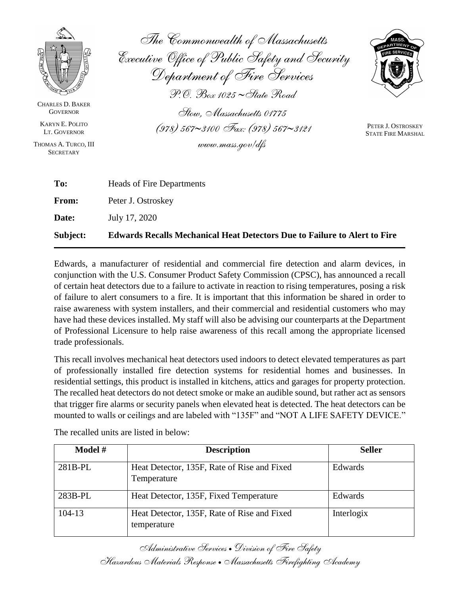

CHARLES D. BAKER **GOVERNOR** 

KARYN E. POLITO LT. GOVERNOR

THOMAS A. TURCO, III **SECRETARY** 

*The Commonwealth of Massachusetts Executive Office of Public Safety and Security Department of Fire Services P.O. Box 1025 State Road Stow, Massachusetts 01775 (978) 5673100 Fax: (978) 5673121*

*www.mass.gov/dfs*



PETER J. OSTROSKEY STATE FIRE MARSHAL

| Subject:     | <b>Edwards Recalls Mechanical Heat Detectors Due to Failure to Alert to Fire</b> |
|--------------|----------------------------------------------------------------------------------|
| <b>Date:</b> | July 17, 2020                                                                    |
| <b>From:</b> | Peter J. Ostroskey                                                               |
| To:          | <b>Heads of Fire Departments</b>                                                 |
|              |                                                                                  |

Edwards, a manufacturer of residential and commercial fire detection and alarm devices, in conjunction with the U.S. Consumer Product Safety Commission (CPSC), has announced a recall of certain heat detectors due to a failure to activate in reaction to rising temperatures, posing a risk of failure to alert consumers to a fire. It is important that this information be shared in order to raise awareness with system installers, and their commercial and residential customers who may have had these devices installed. My staff will also be advising our counterparts at the Department of Professional Licensure to help raise awareness of this recall among the appropriate licensed trade professionals.

This recall involves mechanical heat detectors used indoors to detect elevated temperatures as part of professionally installed fire detection systems for residential homes and businesses. In residential settings, this product is installed in kitchens, attics and garages for property protection. The recalled heat detectors do not detect smoke or make an audible sound, but rather act as sensors that trigger fire alarms or security panels when elevated heat is detected. The heat detectors can be mounted to walls or ceilings and are labeled with "135F" and "NOT A LIFE SAFETY DEVICE."

| <b>Model</b> $#$ | <b>Description</b>                                         | <b>Seller</b> |
|------------------|------------------------------------------------------------|---------------|
| $281B-PL$        | Heat Detector, 135F, Rate of Rise and Fixed<br>Temperature | Edwards       |
| $283B-PL$        | Heat Detector, 135F, Fixed Temperature                     | Edwards       |
| 104-13           | Heat Detector, 135F, Rate of Rise and Fixed<br>temperature | Interlogix    |

The recalled units are listed in below:

*Administrative Services Division of Fire Safety Hazardous Materials Response Massachusetts Firefighting Academy*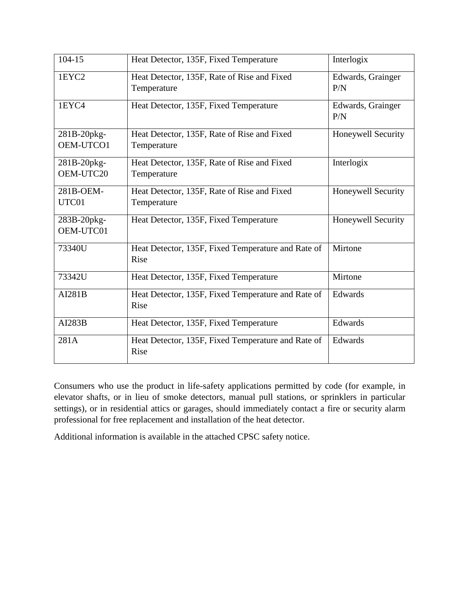| 104-15                   | Heat Detector, 135F, Fixed Temperature                     | Interlogix                |
|--------------------------|------------------------------------------------------------|---------------------------|
| 1EYC2                    | Heat Detector, 135F, Rate of Rise and Fixed<br>Temperature | Edwards, Grainger<br>P/N  |
| 1EYC4                    | Heat Detector, 135F, Fixed Temperature                     | Edwards, Grainger<br>P/N  |
| 281B-20pkg-<br>OEM-UTCO1 | Heat Detector, 135F, Rate of Rise and Fixed<br>Temperature | Honeywell Security        |
| 281B-20pkg-<br>OEM-UTC20 | Heat Detector, 135F, Rate of Rise and Fixed<br>Temperature | Interlogix                |
| 281B-OEM-<br>UTC01       | Heat Detector, 135F, Rate of Rise and Fixed<br>Temperature | <b>Honeywell Security</b> |
| 283B-20pkg-<br>OEM-UTC01 | Heat Detector, 135F, Fixed Temperature                     | Honeywell Security        |
| 73340U                   | Heat Detector, 135F, Fixed Temperature and Rate of<br>Rise | Mirtone                   |
| 73342U                   | Heat Detector, 135F, Fixed Temperature                     | Mirtone                   |
| <b>AI281B</b>            | Heat Detector, 135F, Fixed Temperature and Rate of<br>Rise | Edwards                   |
| AI283B                   | Heat Detector, 135F, Fixed Temperature                     | Edwards                   |
| 281A                     | Heat Detector, 135F, Fixed Temperature and Rate of<br>Rise | Edwards                   |

Consumers who use the product in life-safety applications permitted by code (for example, in elevator shafts, or in lieu of smoke detectors, manual pull stations, or sprinklers in particular settings), or in residential attics or garages, should immediately contact a fire or security alarm professional for free replacement and installation of the heat detector.

Additional information is available in the attached CPSC safety notice.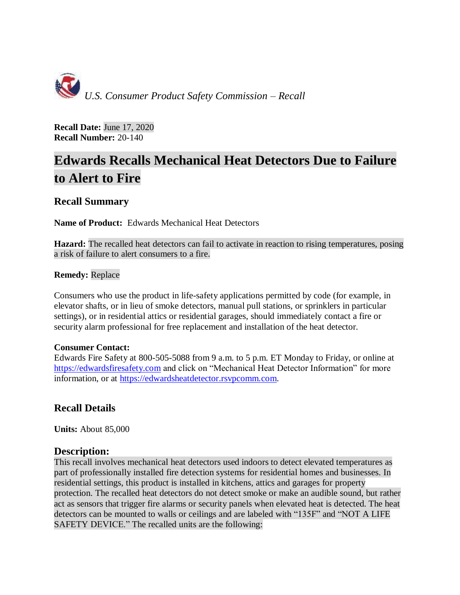

**Recall Date:** June 17, 2020 **Recall Number:** 20-140

# **Edwards Recalls Mechanical Heat Detectors Due to Failure to Alert to Fire**

# **Recall Summary**

**Name of Product:** Edwards Mechanical Heat Detectors

**Hazard:** The recalled heat detectors can fail to activate in reaction to rising temperatures, posing a risk of failure to alert consumers to a fire.

#### **Remedy:** Replace

Consumers who use the product in life-safety applications permitted by code (for example, in elevator shafts, or in lieu of smoke detectors, manual pull stations, or sprinklers in particular settings), or in residential attics or residential garages, should immediately contact a fire or security alarm professional for free replacement and installation of the heat detector.

#### **Consumer Contact:**

Edwards Fire Safety at 800-505-5088 from 9 a.m. to 5 p.m. ET Monday to Friday, or online at [https://edwardsfiresafety.com](https://edwardsfiresafety.com/) and click on "Mechanical Heat Detector Information" for more information, or at [https://edwardsheatdetector.rsvpcomm.com.](https://edwardsheatdetector.rsvpcomm.com/)

# **Recall Details**

**Units:** About 85,000

#### **Description:**

This recall involves mechanical heat detectors used indoors to detect elevated temperatures as part of professionally installed fire detection systems for residential homes and businesses. In residential settings, this product is installed in kitchens, attics and garages for property protection. The recalled heat detectors do not detect smoke or make an audible sound, but rather act as sensors that trigger fire alarms or security panels when elevated heat is detected. The heat detectors can be mounted to walls or ceilings and are labeled with "135F" and "NOT A LIFE SAFETY DEVICE." The recalled units are the following: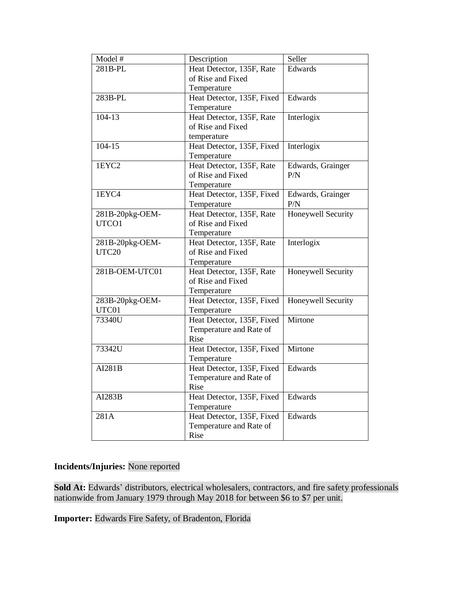| Model #         | Description                | Seller             |
|-----------------|----------------------------|--------------------|
| 281B-PL         | Heat Detector, 135F, Rate  | Edwards            |
|                 | of Rise and Fixed          |                    |
|                 | Temperature                |                    |
| 283B-PL         | Heat Detector, 135F, Fixed | Edwards            |
|                 | Temperature                |                    |
| 104-13          |                            |                    |
|                 | Heat Detector, 135F, Rate  | Interlogix         |
|                 | of Rise and Fixed          |                    |
|                 | temperature                |                    |
| $104 - 15$      | Heat Detector, 135F, Fixed | Interlogix         |
|                 | Temperature                |                    |
| 1EYC2           | Heat Detector, 135F, Rate  | Edwards, Grainger  |
|                 | of Rise and Fixed          | P/N                |
|                 | Temperature                |                    |
| 1EYC4           | Heat Detector, 135F, Fixed | Edwards, Grainger  |
|                 | Temperature                | P/N                |
| 281B-20pkg-OEM- | Heat Detector, 135F, Rate  | Honeywell Security |
| UTCO1           | of Rise and Fixed          |                    |
|                 | Temperature                |                    |
| 281B-20pkg-OEM- | Heat Detector, 135F, Rate  | Interlogix         |
| UTC20           | of Rise and Fixed          |                    |
|                 | Temperature                |                    |
| 281B-OEM-UTC01  | Heat Detector, 135F, Rate  | Honeywell Security |
|                 | of Rise and Fixed          |                    |
|                 | Temperature                |                    |
| 283B-20pkg-OEM- | Heat Detector, 135F, Fixed | Honeywell Security |
| UTC01           | Temperature                |                    |
| 73340U          | Heat Detector, 135F, Fixed | Mirtone            |
|                 | Temperature and Rate of    |                    |
|                 | Rise                       |                    |
| 73342U          | Heat Detector, 135F, Fixed | Mirtone            |
|                 | Temperature                |                    |
| AI281B          | Heat Detector, 135F, Fixed | Edwards            |
|                 | Temperature and Rate of    |                    |
|                 | Rise                       |                    |
| AI283B          | Heat Detector, 135F, Fixed | Edwards            |
|                 | Temperature                |                    |
| 281A            | Heat Detector, 135F, Fixed | Edwards            |
|                 |                            |                    |
|                 | Temperature and Rate of    |                    |
|                 | Rise                       |                    |

### **Incidents/Injuries:** None reported

**Sold At:** Edwards' distributors, electrical wholesalers, contractors, and fire safety professionals nationwide from January 1979 through May 2018 for between \$6 to \$7 per unit.

**Importer:** Edwards Fire Safety, of Bradenton, Florida